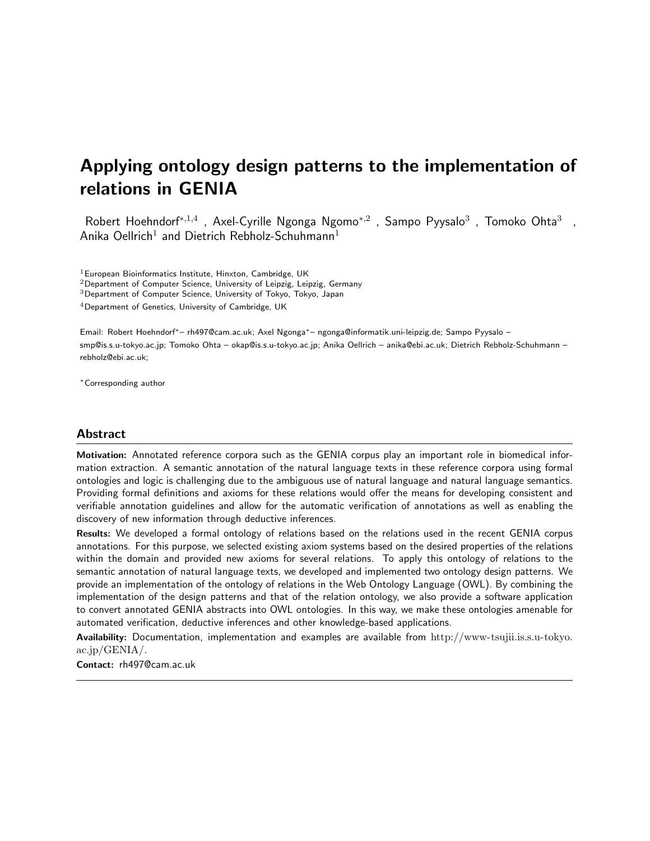# Applying ontology design patterns to the implementation of relations in GENIA

Robert Hoehndorf $^{\ast,1,4}$  , Axel-Cyrille Ngonga Ngomo $^{\ast,2}$  , Sampo Pyysalo $^3$  , Tomoko Ohta $^3$  , Anika Oellrich $^1$  and Dietrich Rebholz-Schuhmann $^1$ 

<sup>1</sup> European Bioinformatics Institute, Hinxton, Cambridge, UK

 $2$ Department of Computer Science, University of Leipzig, Leipzig, Germany

<sup>3</sup>Department of Computer Science, University of Tokyo, Tokyo, Japan

<sup>4</sup>Department of Genetics, University of Cambridge, UK

Email: Robert Hoehndorf∗– rh497@cam.ac.uk; Axel Ngonga∗– ngonga@informatik.uni-leipzig.de; Sampo Pyysalo – smp@is.s.u-tokyo.ac.jp; Tomoko Ohta – okap@is.s.u-tokyo.ac.jp; Anika Oellrich – anika@ebi.ac.uk; Dietrich Rebholz-Schuhmann – rebholz@ebi.ac.uk;

<sup>∗</sup>Corresponding author

## Abstract

Motivation: Annotated reference corpora such as the GENIA corpus play an important role in biomedical information extraction. A semantic annotation of the natural language texts in these reference corpora using formal ontologies and logic is challenging due to the ambiguous use of natural language and natural language semantics. Providing formal definitions and axioms for these relations would offer the means for developing consistent and verifiable annotation guidelines and allow for the automatic verification of annotations as well as enabling the discovery of new information through deductive inferences.

Results: We developed a formal ontology of relations based on the relations used in the recent GENIA corpus annotations. For this purpose, we selected existing axiom systems based on the desired properties of the relations within the domain and provided new axioms for several relations. To apply this ontology of relations to the semantic annotation of natural language texts, we developed and implemented two ontology design patterns. We provide an implementation of the ontology of relations in the Web Ontology Language (OWL). By combining the implementation of the design patterns and that of the relation ontology, we also provide a software application to convert annotated GENIA abstracts into OWL ontologies. In this way, we make these ontologies amenable for automated verification, deductive inferences and other knowledge-based applications.

Availability: Documentation, implementation and examples are available from http://www-tsujii.is.s.u-tokyo. ac.jp/GENIA/.

Contact: rh497@cam.ac.uk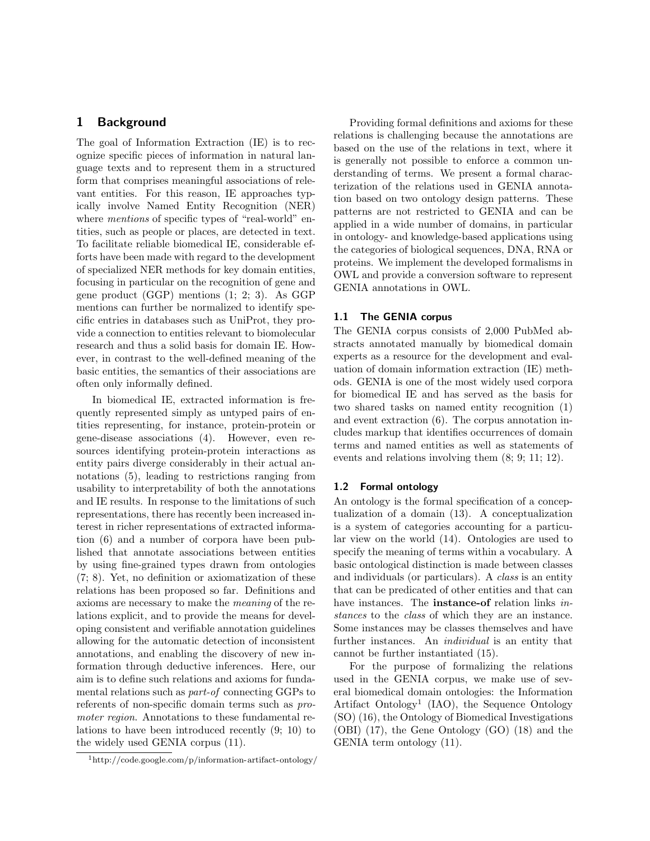## 1 Background

The goal of Information Extraction (IE) is to recognize specific pieces of information in natural language texts and to represent them in a structured form that comprises meaningful associations of relevant entities. For this reason, IE approaches typically involve Named Entity Recognition (NER) where *mentions* of specific types of "real-world" entities, such as people or places, are detected in text. To facilitate reliable biomedical IE, considerable efforts have been made with regard to the development of specialized NER methods for key domain entities, focusing in particular on the recognition of gene and gene product (GGP) mentions (1; 2; 3). As GGP mentions can further be normalized to identify specific entries in databases such as UniProt, they provide a connection to entities relevant to biomolecular research and thus a solid basis for domain IE. However, in contrast to the well-defined meaning of the basic entities, the semantics of their associations are often only informally defined.

In biomedical IE, extracted information is frequently represented simply as untyped pairs of entities representing, for instance, protein-protein or gene-disease associations (4). However, even resources identifying protein-protein interactions as entity pairs diverge considerably in their actual annotations (5), leading to restrictions ranging from usability to interpretability of both the annotations and IE results. In response to the limitations of such representations, there has recently been increased interest in richer representations of extracted information (6) and a number of corpora have been published that annotate associations between entities by using fine-grained types drawn from ontologies (7; 8). Yet, no definition or axiomatization of these relations has been proposed so far. Definitions and axioms are necessary to make the meaning of the relations explicit, and to provide the means for developing consistent and verifiable annotation guidelines allowing for the automatic detection of inconsistent annotations, and enabling the discovery of new information through deductive inferences. Here, our aim is to define such relations and axioms for fundamental relations such as part-of connecting GGPs to referents of non-specific domain terms such as promoter region. Annotations to these fundamental relations to have been introduced recently (9; 10) to the widely used GENIA corpus (11).

Providing formal definitions and axioms for these relations is challenging because the annotations are based on the use of the relations in text, where it is generally not possible to enforce a common understanding of terms. We present a formal characterization of the relations used in GENIA annotation based on two ontology design patterns. These patterns are not restricted to GENIA and can be applied in a wide number of domains, in particular in ontology- and knowledge-based applications using the categories of biological sequences, DNA, RNA or proteins. We implement the developed formalisms in OWL and provide a conversion software to represent GENIA annotations in OWL.

#### 1.1 The GENIA corpus

The GENIA corpus consists of 2,000 PubMed abstracts annotated manually by biomedical domain experts as a resource for the development and evaluation of domain information extraction (IE) methods. GENIA is one of the most widely used corpora for biomedical IE and has served as the basis for two shared tasks on named entity recognition (1) and event extraction (6). The corpus annotation includes markup that identifies occurrences of domain terms and named entities as well as statements of events and relations involving them (8; 9; 11; 12).

#### 1.2 Formal ontology

An ontology is the formal specification of a conceptualization of a domain (13). A conceptualization is a system of categories accounting for a particular view on the world (14). Ontologies are used to specify the meaning of terms within a vocabulary. A basic ontological distinction is made between classes and individuals (or particulars). A class is an entity that can be predicated of other entities and that can have instances. The **instance-of** relation links instances to the class of which they are an instance. Some instances may be classes themselves and have further instances. An individual is an entity that cannot be further instantiated (15).

For the purpose of formalizing the relations used in the GENIA corpus, we make use of several biomedical domain ontologies: the Information Artifact Ontology<sup>1</sup> (IAO), the Sequence Ontology (SO) (16), the Ontology of Biomedical Investigations (OBI) (17), the Gene Ontology (GO) (18) and the GENIA term ontology (11).

<sup>1</sup>http://code.google.com/p/information-artifact-ontology/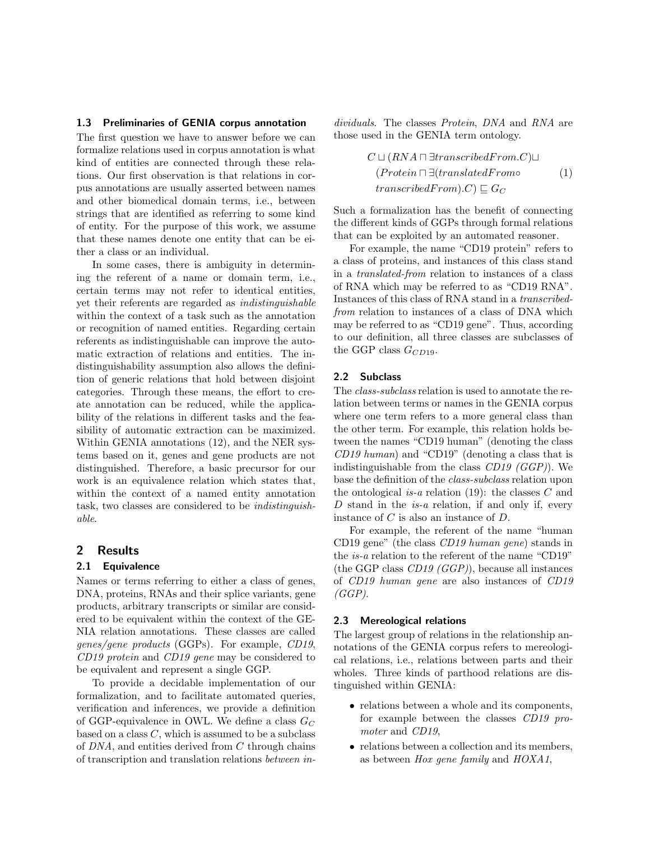#### 1.3 Preliminaries of GENIA corpus annotation

The first question we have to answer before we can formalize relations used in corpus annotation is what kind of entities are connected through these relations. Our first observation is that relations in corpus annotations are usually asserted between names and other biomedical domain terms, i.e., between strings that are identified as referring to some kind of entity. For the purpose of this work, we assume that these names denote one entity that can be either a class or an individual.

In some cases, there is ambiguity in determining the referent of a name or domain term, i.e., certain terms may not refer to identical entities, yet their referents are regarded as indistinguishable within the context of a task such as the annotation or recognition of named entities. Regarding certain referents as indistinguishable can improve the automatic extraction of relations and entities. The indistinguishability assumption also allows the definition of generic relations that hold between disjoint categories. Through these means, the effort to create annotation can be reduced, while the applicability of the relations in different tasks and the feasibility of automatic extraction can be maximized. Within GENIA annotations (12), and the NER systems based on it, genes and gene products are not distinguished. Therefore, a basic precursor for our work is an equivalence relation which states that, within the context of a named entity annotation task, two classes are considered to be indistinguishable.

#### 2 Results

#### 2.1 Equivalence

Names or terms referring to either a class of genes, DNA, proteins, RNAs and their splice variants, gene products, arbitrary transcripts or similar are considered to be equivalent within the context of the GE-NIA relation annotations. These classes are called genes/gene products (GGPs). For example, CD19, CD19 protein and CD19 gene may be considered to be equivalent and represent a single GGP.

To provide a decidable implementation of our formalization, and to facilitate automated queries, verification and inferences, we provide a definition of GGP-equivalence in OWL. We define a class  $G_C$ based on a class  $C$ , which is assumed to be a subclass of  $DNA$ , and entities derived from  $C$  through chains of transcription and translation relations between individuals. The classes *Protein*, DNA and RNA are those used in the GENIA term ontology.

$$
C \sqcup (RNA \sqcap \exists transcribedFrom.C) \sqcup
$$
  
\n
$$
(Protein \sqcap \exists (translatedFrom).C) \sqsubseteq G_C
$$
  
\n
$$
(1)
$$

Such a formalization has the benefit of connecting the different kinds of GGPs through formal relations that can be exploited by an automated reasoner.

For example, the name "CD19 protein" refers to a class of proteins, and instances of this class stand in a translated-from relation to instances of a class of RNA which may be referred to as "CD19 RNA". Instances of this class of RNA stand in a transcribedfrom relation to instances of a class of DNA which may be referred to as "CD19 gene". Thus, according to our definition, all three classes are subclasses of the GGP class  $G_{CD19}$ .

#### 2.2 Subclass

The class-subclass relation is used to annotate the relation between terms or names in the GENIA corpus where one term refers to a more general class than the other term. For example, this relation holds between the names "CD19 human" (denoting the class CD19 human) and "CD19" (denoting a class that is indistinguishable from the class  $CD19$  (GGP)). We base the definition of the class-subclass relation upon the ontological *is-a* relation  $(19)$ : the classes C and D stand in the is-a relation, if and only if, every instance of C is also an instance of D.

For example, the referent of the name "human CD19 gene" (the class CD19 human gene) stands in the is-a relation to the referent of the name "CD19" (the GGP class  $CD19$  (GGP)), because all instances of CD19 human gene are also instances of CD19  $(GGP)$ .

#### 2.3 Mereological relations

The largest group of relations in the relationship annotations of the GENIA corpus refers to mereological relations, i.e., relations between parts and their wholes. Three kinds of parthood relations are distinguished within GENIA:

- relations between a whole and its components, for example between the classes CD19 promoter and CD19,
- relations between a collection and its members, as between Hox gene family and HOXA1,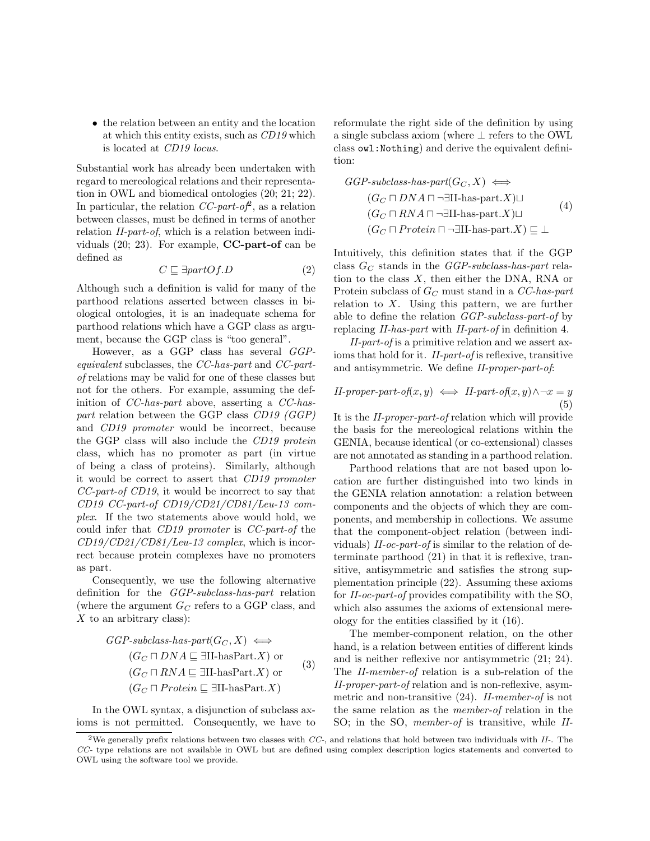• the relation between an entity and the location at which this entity exists, such as CD19 which is located at CD19 locus.

Substantial work has already been undertaken with regard to mereological relations and their representation in OWL and biomedical ontologies (20; 21; 22). In particular, the relation  $CC$ -part-of<sup>2</sup>, as a relation between classes, must be defined in terms of another relation II-part-of, which is a relation between individuals (20; 23). For example, CC-part-of can be defined as

$$
C \sqsubseteq \exists partOf.D
$$
 (2)

Although such a definition is valid for many of the parthood relations asserted between classes in biological ontologies, it is an inadequate schema for parthood relations which have a GGP class as argument, because the GGP class is "too general".

However, as a GGP class has several GGPequivalent subclasses, the CC-has-part and CC-partof relations may be valid for one of these classes but not for the others. For example, assuming the definition of CC-has-part above, asserting a CC-haspart relation between the GGP class CD19 (GGP) and CD19 promoter would be incorrect, because the GGP class will also include the CD19 protein class, which has no promoter as part (in virtue of being a class of proteins). Similarly, although it would be correct to assert that CD19 promoter CC-part-of CD19, it would be incorrect to say that CD19 CC-part-of CD19/CD21/CD81/Leu-13 complex. If the two statements above would hold, we could infer that CD19 promoter is CC-part-of the CD19/CD21/CD81/Leu-13 complex, which is incorrect because protein complexes have no promoters as part.

Consequently, we use the following alternative definition for the GGP-subclass-has-part relation (where the argument  $G_C$  refers to a GGP class, and  $X$  to an arbitrary class):

$$
GGP-subclass-has-part(G_C, X) \iff
$$
  
\n
$$
(G_C \sqcap DNA \sqsubseteq \exists \text{II-hasPart}.X) \text{ or }
$$
  
\n
$$
(G_C \sqcap RNA \sqsubseteq \exists \text{II-hasPart}.X) \text{ or }
$$
  
\n
$$
(G_C \sqcap Protein \sqsubseteq \exists \text{II-hasPart}.X)
$$
\n(3)

In the OWL syntax, a disjunction of subclass axioms is not permitted. Consequently, we have to reformulate the right side of the definition by using a single subclass axiom (where ⊥ refers to the OWL class owl:Nothing) and derive the equivalent definition:

$$
GGP-subclass-has-part(G_C, X) \iff
$$
  
\n
$$
(G_C \sqcap DNA \sqcap \neg \exists \text{II-has-part.} X) \sqcup
$$
  
\n
$$
(G_C \sqcap RNA \sqcap \neg \exists \text{II-has-part.} X) \sqcup
$$
  
\n
$$
(G_C \sqcap Protein \sqcap \neg \exists \text{II-has-part.} X) \sqsubseteq \bot
$$
\n
$$
(4)
$$

Intuitively, this definition states that if the GGP class  $G_C$  stands in the *GGP-subclass-has-part* relation to the class  $X$ , then either the DNA, RNA or Protein subclass of  $G_C$  must stand in a CC-has-part relation to  $X$ . Using this pattern, we are further able to define the relation GGP-subclass-part-of by replacing II-has-part with II-part-of in definition 4.

II-part-of is a primitive relation and we assert axioms that hold for it. II-part-of is reflexive, transitive and antisymmetric. We define II-proper-part-of:

$$
II\text{-}proper\text{-}part\text{-}of(x,y) \iff II\text{-}part\text{-}of(x,y) \land \neg x = y \tag{5}
$$

It is the II-proper-part-of relation which will provide the basis for the mereological relations within the GENIA, because identical (or co-extensional) classes are not annotated as standing in a parthood relation.

Parthood relations that are not based upon location are further distinguished into two kinds in the GENIA relation annotation: a relation between components and the objects of which they are components, and membership in collections. We assume that the component-object relation (between individuals) II-oc-part-of is similar to the relation of determinate parthood (21) in that it is reflexive, transitive, antisymmetric and satisfies the strong supplementation principle (22). Assuming these axioms for II-oc-part-of provides compatibility with the SO, which also assumes the axioms of extensional mereology for the entities classified by it (16).

The member-component relation, on the other hand, is a relation between entities of different kinds and is neither reflexive nor antisymmetric (21; 24). The II-member-of relation is a sub-relation of the II-proper-part-of relation and is non-reflexive, asymmetric and non-transitive (24). II-member-of is not the same relation as the member-of relation in the SO; in the SO, *member-of* is transitive, while II-

<sup>&</sup>lt;sup>2</sup>We generally prefix relations between two classes with  $CC<sub>z</sub>$ , and relations that hold between two individuals with  $II<sub>z</sub>$ . The CC- type relations are not available in OWL but are defined using complex description logics statements and converted to OWL using the software tool we provide.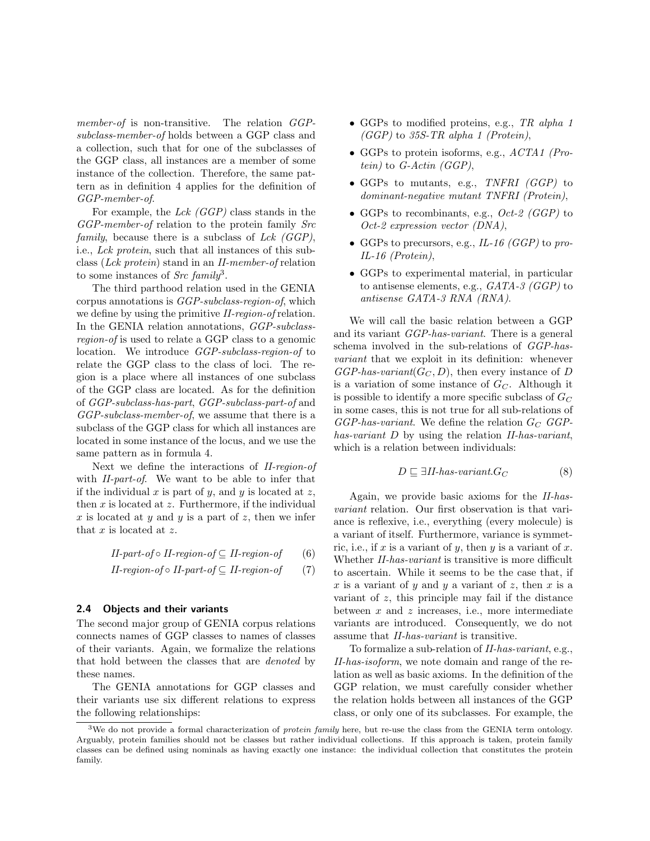member-of is non-transitive. The relation GGPsubclass-member-of holds between a GGP class and a collection, such that for one of the subclasses of the GGP class, all instances are a member of some instance of the collection. Therefore, the same pattern as in definition 4 applies for the definition of GGP-member-of.

For example, the Lck (GGP) class stands in the GGP-member-of relation to the protein family Src family, because there is a subclass of Lck  $(GGP)$ , i.e., Lck protein, such that all instances of this subclass (Lck protein) stand in an II-member-of relation to some instances of Src family<sup>3</sup>.

The third parthood relation used in the GENIA corpus annotations is GGP-subclass-region-of, which we define by using the primitive *II-region-of* relation. In the GENIA relation annotations, GGP-subclassregion-of is used to relate a GGP class to a genomic location. We introduce GGP-subclass-region-of to relate the GGP class to the class of loci. The region is a place where all instances of one subclass of the GGP class are located. As for the definition of GGP-subclass-has-part, GGP-subclass-part-of and GGP-subclass-member-of, we assume that there is a subclass of the GGP class for which all instances are located in some instance of the locus, and we use the same pattern as in formula 4.

Next we define the interactions of II-region-of with *II-part-of.* We want to be able to infer that if the individual  $x$  is part of  $y$ , and  $y$  is located at  $z$ , then  $x$  is located at  $z$ . Furthermore, if the individual x is located at y and y is a part of z, then we infer that  $x$  is located at  $z$ .

$$
II-part\text{-}of \circ II\text{-}region\text{-}of \subseteq II\text{-}region\text{-}of \qquad (6)
$$

$$
II-region-of \circ II-part-of \subseteq II-region-of
$$
 (7)

#### 2.4 Objects and their variants

The second major group of GENIA corpus relations connects names of GGP classes to names of classes of their variants. Again, we formalize the relations that hold between the classes that are denoted by these names.

The GENIA annotations for GGP classes and their variants use six different relations to express the following relationships:

- GGPs to modified proteins, e.g., TR alpha 1  $(GGP)$  to 35S-TR alpha 1 (Protein),
- GGPs to protein isoforms, e.g., ACTA1 (Protein) to G-Actin (GGP),
- GGPs to mutants, e.g., TNFRI (GGP) to dominant-negative mutant TNFRI (Protein),
- GGPs to recombinants, e.g.,  $Oct-2$  (GGP) to Oct-2 expression vector (DNA),
- GGPs to precursors, e.g.,  $IL-16$  (GGP) to pro-IL-16 (Protein),
- GGPs to experimental material, in particular to antisense elements, e.g.,  $GATA-3$  ( $GGP$ ) to antisense GATA-3 RNA (RNA).

We will call the basic relation between a GGP and its variant GGP-has-variant. There is a general schema involved in the sub-relations of GGP-hasvariant that we exploit in its definition: whenever  $GGP\text{-}has\text{-}variant(G_C, D)$ , then every instance of D is a variation of some instance of  $G_C$ . Although it is possible to identify a more specific subclass of  $G_C$ in some cases, this is not true for all sub-relations of  $GGP$ -has-variant. We define the relation  $G_C$  GGPhas-variant D by using the relation II-has-variant, which is a relation between individuals:

$$
D \sqsubseteq \exists II\text{-}has\text{-}variant.G_C
$$
 (8)

Again, we provide basic axioms for the II-hasvariant relation. Our first observation is that variance is reflexive, i.e., everything (every molecule) is a variant of itself. Furthermore, variance is symmetric, i.e., if x is a variant of y, then y is a variant of x. Whether *II-has-variant* is transitive is more difficult to ascertain. While it seems to be the case that, if x is a variant of y and y a variant of z, then x is a variant of  $z$ , this principle may fail if the distance between  $x$  and  $z$  increases, i.e., more intermediate variants are introduced. Consequently, we do not assume that II-has-variant is transitive.

To formalize a sub-relation of II-has-variant, e.g., II-has-isoform, we note domain and range of the relation as well as basic axioms. In the definition of the GGP relation, we must carefully consider whether the relation holds between all instances of the GGP class, or only one of its subclasses. For example, the

 $3$ We do not provide a formal characterization of *protein family* here, but re-use the class from the GENIA term ontology. Arguably, protein families should not be classes but rather individual collections. If this approach is taken, protein family classes can be defined using nominals as having exactly one instance: the individual collection that constitutes the protein family.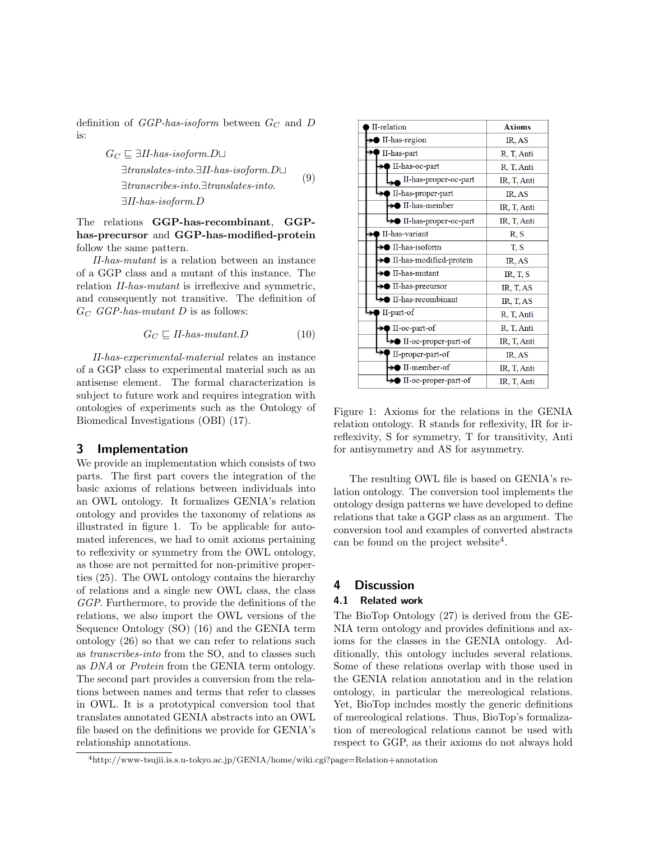definition of  $GGP-has-isoform$  between  $G_C$  and  $D$ is:

$$
G_C \sqsubseteq \exists II\text{-}has\text{-}isoform.D\sqcup
$$
  
\n
$$
\exists \text{translates\text{-}into.}\exists II\text{-}has\text{-}isoform.D\sqcup
$$
  
\n
$$
\exists \text{transcribes\text{-}into.}\exists \text{translates\text{-}into.}
$$
  
\n
$$
\exists II\text{-}has\text{-}isoform.D
$$
 (9)

The relations GGP-has-recombinant, GGPhas-precursor and GGP-has-modified-protein follow the same pattern.

II-has-mutant is a relation between an instance of a GGP class and a mutant of this instance. The relation II-has-mutant is irreflexive and symmetric, and consequently not transitive. The definition of  $G_C$  GGP-has-mutant D is as follows:

$$
G_C \sqsubseteq II\text{-}has-mutant.D \tag{10}
$$

II-has-experimental-material relates an instance of a GGP class to experimental material such as an antisense element. The formal characterization is subject to future work and requires integration with ontologies of experiments such as the Ontology of Biomedical Investigations (OBI) (17).

## 3 Implementation

We provide an implementation which consists of two parts. The first part covers the integration of the basic axioms of relations between individuals into an OWL ontology. It formalizes GENIA's relation ontology and provides the taxonomy of relations as illustrated in figure 1. To be applicable for automated inferences, we had to omit axioms pertaining to reflexivity or symmetry from the OWL ontology, as those are not permitted for non-primitive properties (25). The OWL ontology contains the hierarchy of relations and a single new OWL class, the class GGP. Furthermore, to provide the definitions of the relations, we also import the OWL versions of the Sequence Ontology (SO) (16) and the GENIA term ontology (26) so that we can refer to relations such as transcribes-into from the SO, and to classes such as DNA or Protein from the GENIA term ontology. The second part provides a conversion from the relations between names and terms that refer to classes in OWL. It is a prototypical conversion tool that translates annotated GENIA abstracts into an OWL file based on the definitions we provide for GENIA's relationship annotations.

| II-relation             | <b>Axioms</b> |
|-------------------------|---------------|
| II-has-region           | IR, AS        |
| II-has-part             | R, T, Anti    |
| II-has-oc-part          | R, T, Anti    |
| II-has-proper-oc-part   | IR, T, Anti   |
| II-has-proper-part      | IR, AS        |
| II-has-member           | IR, T, Anti   |
| II-has-proper-oc-part   | IR, T, Anti   |
| II-has-variant          | R, S          |
| II-has-isoform          | T, S          |
| II-has-modified-protein | IR, AS        |
| II-has-mutant           | IR, T, S      |
| > II-has-precursor      | IR, T, AS     |
| II-has-recombinant      | IR, T, AS     |
| II-part-of              | R, T, Anti    |
| II-oc-part-of           | R, T, Anti    |
| II-oc-proper-part-of    | IR, T, Anti   |
| II-proper-part-of       | IR, AS        |
| II-member-of            | IR, T, Anti   |
| II-oc-proper-part-of    | IR, T, Anti   |

Figure 1: Axioms for the relations in the GENIA relation ontology. R stands for reflexivity, IR for irreflexivity, S for symmetry, T for transitivity, Anti for antisymmetry and AS for asymmetry.

The resulting OWL file is based on GENIA's relation ontology. The conversion tool implements the ontology design patterns we have developed to define relations that take a GGP class as an argument. The conversion tool and examples of converted abstracts can be found on the project website<sup>4</sup>.

## 4 Discussion

## 4.1 Related work

The BioTop Ontology (27) is derived from the GE-NIA term ontology and provides definitions and axioms for the classes in the GENIA ontology. Additionally, this ontology includes several relations. Some of these relations overlap with those used in the GENIA relation annotation and in the relation ontology, in particular the mereological relations. Yet, BioTop includes mostly the generic definitions of mereological relations. Thus, BioTop's formalization of mereological relations cannot be used with respect to GGP, as their axioms do not always hold

<sup>4</sup>http://www-tsujii.is.s.u-tokyo.ac.jp/GENIA/home/wiki.cgi?page=Relation+annotation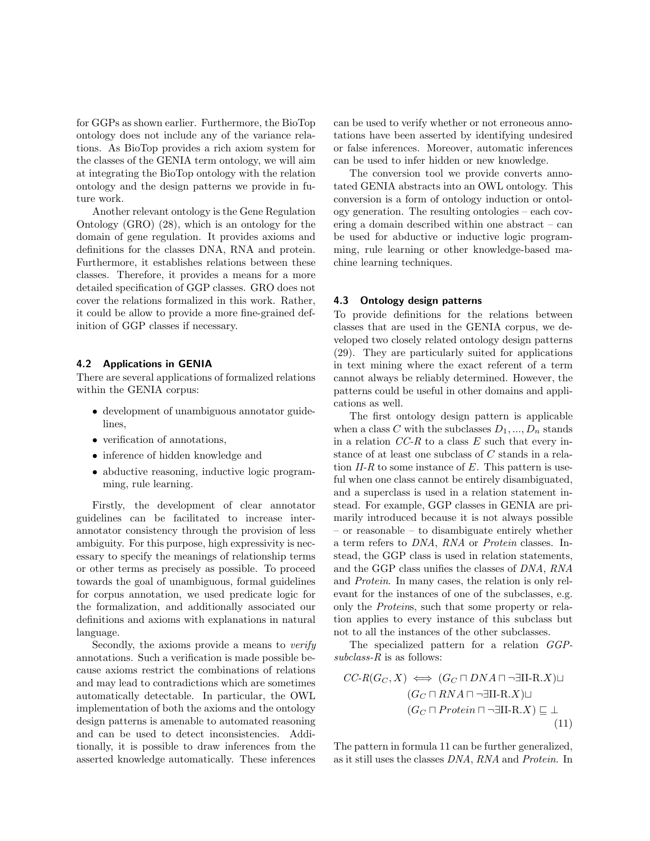for GGPs as shown earlier. Furthermore, the BioTop ontology does not include any of the variance relations. As BioTop provides a rich axiom system for the classes of the GENIA term ontology, we will aim at integrating the BioTop ontology with the relation ontology and the design patterns we provide in future work.

Another relevant ontology is the Gene Regulation Ontology (GRO) (28), which is an ontology for the domain of gene regulation. It provides axioms and definitions for the classes DNA, RNA and protein. Furthermore, it establishes relations between these classes. Therefore, it provides a means for a more detailed specification of GGP classes. GRO does not cover the relations formalized in this work. Rather, it could be allow to provide a more fine-grained definition of GGP classes if necessary.

#### 4.2 Applications in GENIA

There are several applications of formalized relations within the GENIA corpus:

- development of unambiguous annotator guidelines,
- verification of annotations,
- inference of hidden knowledge and
- abductive reasoning, inductive logic programming, rule learning.

Firstly, the development of clear annotator guidelines can be facilitated to increase interannotator consistency through the provision of less ambiguity. For this purpose, high expressivity is necessary to specify the meanings of relationship terms or other terms as precisely as possible. To proceed towards the goal of unambiguous, formal guidelines for corpus annotation, we used predicate logic for the formalization, and additionally associated our definitions and axioms with explanations in natural language.

Secondly, the axioms provide a means to verify annotations. Such a verification is made possible because axioms restrict the combinations of relations and may lead to contradictions which are sometimes automatically detectable. In particular, the OWL implementation of both the axioms and the ontology design patterns is amenable to automated reasoning and can be used to detect inconsistencies. Additionally, it is possible to draw inferences from the asserted knowledge automatically. These inferences can be used to verify whether or not erroneous annotations have been asserted by identifying undesired or false inferences. Moreover, automatic inferences can be used to infer hidden or new knowledge.

The conversion tool we provide converts annotated GENIA abstracts into an OWL ontology. This conversion is a form of ontology induction or ontology generation. The resulting ontologies – each covering a domain described within one abstract – can be used for abductive or inductive logic programming, rule learning or other knowledge-based machine learning techniques.

#### 4.3 Ontology design patterns

To provide definitions for the relations between classes that are used in the GENIA corpus, we developed two closely related ontology design patterns (29). They are particularly suited for applications in text mining where the exact referent of a term cannot always be reliably determined. However, the patterns could be useful in other domains and applications as well.

The first ontology design pattern is applicable when a class C with the subclasses  $D_1, ..., D_n$  stands in a relation  $CC-R$  to a class E such that every instance of at least one subclass of C stands in a relation  $II-R$  to some instance of  $E$ . This pattern is useful when one class cannot be entirely disambiguated, and a superclass is used in a relation statement instead. For example, GGP classes in GENIA are primarily introduced because it is not always possible – or reasonable – to disambiguate entirely whether a term refers to DNA, RNA or Protein classes. Instead, the GGP class is used in relation statements, and the GGP class unifies the classes of DNA, RNA and Protein. In many cases, the relation is only relevant for the instances of one of the subclasses, e.g. only the Proteins, such that some property or relation applies to every instance of this subclass but not to all the instances of the other subclasses.

The specialized pattern for a relation GGPsubclass- $R$  is as follows:

$$
CC-R(G_C, X) \iff (G_C \sqcap DNA \sqcap \neg \exists II-R.X) \sqcup
$$
  

$$
(G_C \sqcap RNA \sqcap \neg \exists II-R.X) \sqcup
$$
  

$$
(G_C \sqcap Protein \sqcap \neg \exists II-R.X) \sqsubseteq \bot
$$
  
(11)

The pattern in formula 11 can be further generalized, as it still uses the classes DNA, RNA and Protein. In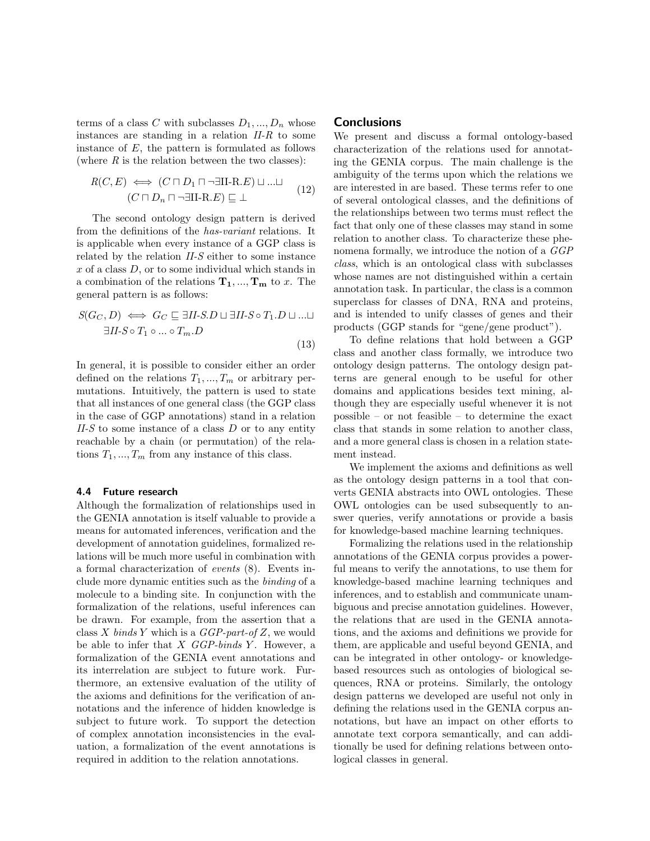terms of a class C with subclasses  $D_1, ..., D_n$  whose instances are standing in a relation  $II-R$  to some instance of  $E$ , the pattern is formulated as follows (where  $R$  is the relation between the two classes):

$$
R(C, E) \iff (C \sqcap D_1 \sqcap \neg \exists \text{II-R}.E) \sqcup ... \sqcup
$$
  

$$
(C \sqcap D_n \sqcap \neg \exists \text{II-R}.E) \sqsubseteq \bot
$$
 (12)

The second ontology design pattern is derived from the definitions of the has-variant relations. It is applicable when every instance of a GGP class is related by the relation II-S either to some instance  $x$  of a class  $D$ , or to some individual which stands in a combination of the relations  $\mathbf{T}_1, ..., \mathbf{T}_m$  to x. The general pattern is as follows:

$$
S(G_C, D) \iff G_C \sqsubseteq \exists II \text{-} S.D \sqcup \exists II \text{-} S \circ T_1.D \sqcup \dots \sqcup
$$
  

$$
\exists II \text{-} S \circ T_1 \circ \dots \circ T_m.D \tag{13}
$$

In general, it is possible to consider either an order defined on the relations  $T_1, ..., T_m$  or arbitrary permutations. Intuitively, the pattern is used to state that all instances of one general class (the GGP class in the case of GGP annotations) stand in a relation  $II-S$  to some instance of a class  $D$  or to any entity reachable by a chain (or permutation) of the relations  $T_1, ..., T_m$  from any instance of this class.

#### 4.4 Future research

Although the formalization of relationships used in the GENIA annotation is itself valuable to provide a means for automated inferences, verification and the development of annotation guidelines, formalized relations will be much more useful in combination with a formal characterization of events (8). Events include more dynamic entities such as the binding of a molecule to a binding site. In conjunction with the formalization of the relations, useful inferences can be drawn. For example, from the assertion that a class X binds Y which is a  $GGP$ -part-of Z, we would be able to infer that  $X$  GGP-binds  $Y$ . However, a formalization of the GENIA event annotations and its interrelation are subject to future work. Furthermore, an extensive evaluation of the utility of the axioms and definitions for the verification of annotations and the inference of hidden knowledge is subject to future work. To support the detection of complex annotation inconsistencies in the evaluation, a formalization of the event annotations is required in addition to the relation annotations.

## **Conclusions**

We present and discuss a formal ontology-based characterization of the relations used for annotating the GENIA corpus. The main challenge is the ambiguity of the terms upon which the relations we are interested in are based. These terms refer to one of several ontological classes, and the definitions of the relationships between two terms must reflect the fact that only one of these classes may stand in some relation to another class. To characterize these phenomena formally, we introduce the notion of a GGP class, which is an ontological class with subclasses whose names are not distinguished within a certain annotation task. In particular, the class is a common superclass for classes of DNA, RNA and proteins, and is intended to unify classes of genes and their products (GGP stands for "gene/gene product").

To define relations that hold between a GGP class and another class formally, we introduce two ontology design patterns. The ontology design patterns are general enough to be useful for other domains and applications besides text mining, although they are especially useful whenever it is not possible – or not feasible – to determine the exact class that stands in some relation to another class, and a more general class is chosen in a relation statement instead.

We implement the axioms and definitions as well as the ontology design patterns in a tool that converts GENIA abstracts into OWL ontologies. These OWL ontologies can be used subsequently to answer queries, verify annotations or provide a basis for knowledge-based machine learning techniques.

Formalizing the relations used in the relationship annotations of the GENIA corpus provides a powerful means to verify the annotations, to use them for knowledge-based machine learning techniques and inferences, and to establish and communicate unambiguous and precise annotation guidelines. However, the relations that are used in the GENIA annotations, and the axioms and definitions we provide for them, are applicable and useful beyond GENIA, and can be integrated in other ontology- or knowledgebased resources such as ontologies of biological sequences, RNA or proteins. Similarly, the ontology design patterns we developed are useful not only in defining the relations used in the GENIA corpus annotations, but have an impact on other efforts to annotate text corpora semantically, and can additionally be used for defining relations between ontological classes in general.